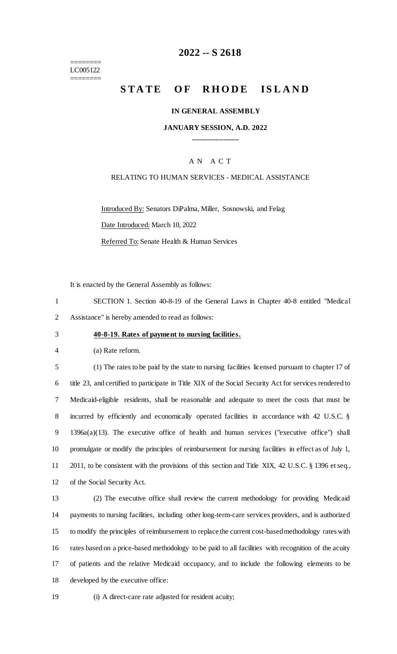======== LC005122 ========

## **-- S 2618**

# **STATE OF RHODE ISLAND**

#### **IN GENERAL ASSEMBLY**

## **JANUARY SESSION, A.D. 2022 \_\_\_\_\_\_\_\_\_\_\_\_**

## A N A C T

### RELATING TO HUMAN SERVICES - MEDICAL ASSISTANCE

Introduced By: Senators DiPalma, Miller, Sosnowski, and Felag

Date Introduced: March 10, 2022

Referred To: Senate Health & Human Services

It is enacted by the General Assembly as follows:

 SECTION 1. Section 40-8-19 of the General Laws in Chapter 40-8 entitled "Medical Assistance" is hereby amended to read as follows:

#### **40-8-19. Rates of payment to nursing facilities.**

(a) Rate reform.

 (1) The rates to be paid by the state to nursing facilities licensed pursuant to chapter 17 of title 23, and certified to participate in Title XIX of the Social Security Act for services rendered to Medicaid-eligible residents, shall be reasonable and adequate to meet the costs that must be incurred by efficiently and economically operated facilities in accordance with 42 U.S.C. § 1396a(a)(13). The executive office of health and human services ("executive office") shall promulgate or modify the principles of reimbursement for nursing facilities in effect as of July 1, 2011, to be consistent with the provisions of this section and Title XIX, 42 U.S.C. § 1396 et seq., of the Social Security Act.

 (2) The executive office shall review the current methodology for providing Medicaid payments to nursing facilities, including other long-term-care services providers, and is authorized to modify the principles of reimbursement to replace the current cost-based methodology rates with rates based on a price-based methodology to be paid to all facilities with recognition of the acuity of patients and the relative Medicaid occupancy, and to include the following elements to be developed by the executive office:

(i) A direct-care rate adjusted for resident acuity;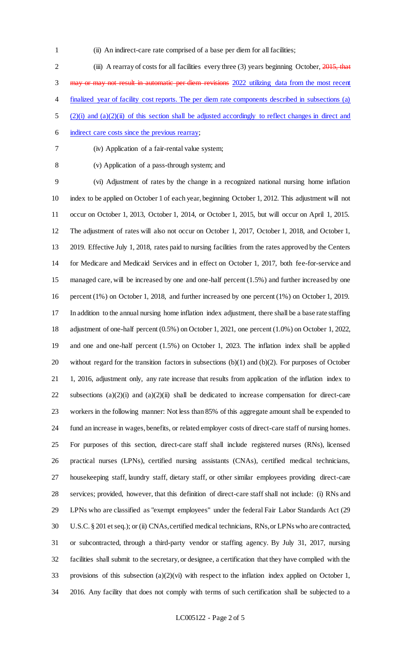(ii) An indirect-care rate comprised of a base per diem for all facilities;

2 (iii) A rearray of costs for all facilities every three (3) years beginning October, 2015, that may or may not result in automatic per diem revisions 2022 utilizing data from the most recent finalized year of facility cost reports. The per diem rate components described in subsections (a) (2)(i) and (a)(2)(ii) of this section shall be adjusted accordingly to reflect changes in direct and 6 indirect care costs since the previous rearray;

- 
- (iv) Application of a fair-rental value system;
- 

(v) Application of a pass-through system; and

 (vi) Adjustment of rates by the change in a recognized national nursing home inflation index to be applied on October 1 of each year, beginning October 1, 2012. This adjustment will not occur on October 1, 2013, October 1, 2014, or October 1, 2015, but will occur on April 1, 2015. The adjustment of rates will also not occur on October 1, 2017, October 1, 2018, and October 1, 2019. Effective July 1, 2018, rates paid to nursing facilities from the rates approved by the Centers for Medicare and Medicaid Services and in effect on October 1, 2017, both fee-for-service and managed care, will be increased by one and one-half percent (1.5%) and further increased by one percent (1%) on October 1, 2018, and further increased by one percent (1%) on October 1, 2019. In addition to the annual nursing home inflation index adjustment, there shall be a base rate staffing adjustment of one-half percent (0.5%) on October 1, 2021, one percent (1.0%) on October 1, 2022, and one and one-half percent (1.5%) on October 1, 2023. The inflation index shall be applied without regard for the transition factors in subsections (b)(1) and (b)(2). For purposes of October 1, 2016, adjustment only, any rate increase that results from application of the inflation index to subsections (a)(2)(i) and (a)(2)(ii) shall be dedicated to increase compensation for direct-care workers in the following manner: Not less than 85% of this aggregate amount shall be expended to fund an increase in wages, benefits, or related employer costs of direct-care staff of nursing homes. For purposes of this section, direct-care staff shall include registered nurses (RNs), licensed practical nurses (LPNs), certified nursing assistants (CNAs), certified medical technicians, housekeeping staff, laundry staff, dietary staff, or other similar employees providing direct-care services; provided, however, that this definition of direct-care staff shall not include: (i) RNs and LPNs who are classified as "exempt employees" under the federal Fair Labor Standards Act (29 U.S.C. § 201 et seq.); or (ii) CNAs, certified medical technicians, RNs, or LPNs who are contracted, or subcontracted, through a third-party vendor or staffing agency. By July 31, 2017, nursing facilities shall submit to the secretary, or designee, a certification that they have complied with the provisions of this subsection (a)(2)(vi) with respect to the inflation index applied on October 1, 2016. Any facility that does not comply with terms of such certification shall be subjected to a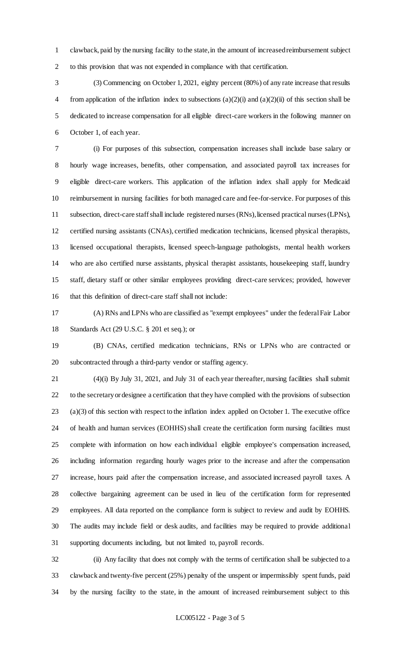clawback, paid by the nursing facility to the state, in the amount of increased reimbursement subject to this provision that was not expended in compliance with that certification.

 (3) Commencing on October 1, 2021, eighty percent (80%) of any rate increase that results 4 from application of the inflation index to subsections (a)(2)(i) and (a)(2)(ii) of this section shall be dedicated to increase compensation for all eligible direct-care workers in the following manner on October 1, of each year.

 (i) For purposes of this subsection, compensation increases shall include base salary or hourly wage increases, benefits, other compensation, and associated payroll tax increases for eligible direct-care workers. This application of the inflation index shall apply for Medicaid reimbursement in nursing facilities for both managed care and fee-for-service. For purposes of this subsection, direct-care staff shall include registered nurses (RNs), licensed practical nurses (LPNs), certified nursing assistants (CNAs), certified medication technicians, licensed physical therapists, licensed occupational therapists, licensed speech-language pathologists, mental health workers who are also certified nurse assistants, physical therapist assistants, housekeeping staff, laundry staff, dietary staff or other similar employees providing direct-care services; provided, however that this definition of direct-care staff shall not include:

 (A) RNs and LPNs who are classified as "exempt employees" under the federal Fair Labor Standards Act (29 U.S.C. § 201 et seq.); or

 (B) CNAs, certified medication technicians, RNs or LPNs who are contracted or subcontracted through a third-party vendor or staffing agency.

 (4)(i) By July 31, 2021, and July 31 of each year thereafter, nursing facilities shall submit to the secretary or designee a certification that they have complied with the provisions of subsection (a)(3) of this section with respect to the inflation index applied on October 1. The executive office of health and human services (EOHHS) shall create the certification form nursing facilities must complete with information on how each individual eligible employee's compensation increased, including information regarding hourly wages prior to the increase and after the compensation increase, hours paid after the compensation increase, and associated increased payroll taxes. A collective bargaining agreement can be used in lieu of the certification form for represented employees. All data reported on the compliance form is subject to review and audit by EOHHS. The audits may include field or desk audits, and facilities may be required to provide additional supporting documents including, but not limited to, payroll records.

 (ii) Any facility that does not comply with the terms of certification shall be subjected to a clawback and twenty-five percent (25%) penalty of the unspent or impermissibly spent funds, paid by the nursing facility to the state, in the amount of increased reimbursement subject to this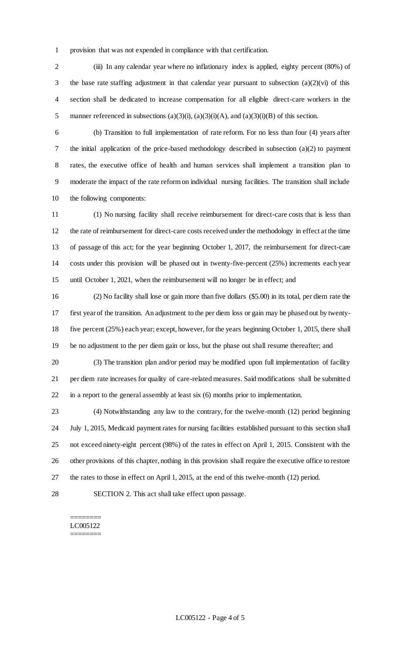provision that was not expended in compliance with that certification.

2 (iii) In any calendar year where no inflationary index is applied, eighty percent (80%) of 3 the base rate staffing adjustment in that calendar year pursuant to subsection  $(a)(2)(vi)$  of this section shall be dedicated to increase compensation for all eligible direct-care workers in the 5 manner referenced in subsections  $(a)(3)(i)$ ,  $(a)(3)(i)(A)$ , and  $(a)(3)(i)(B)$  of this section.

 (b) Transition to full implementation of rate reform. For no less than four (4) years after the initial application of the price-based methodology described in subsection (a)(2) to payment rates, the executive office of health and human services shall implement a transition plan to moderate the impact of the rate reform on individual nursing facilities. The transition shall include the following components:

 (1) No nursing facility shall receive reimbursement for direct-care costs that is less than the rate of reimbursement for direct-care costs received under the methodology in effect at the time of passage of this act; for the year beginning October 1, 2017, the reimbursement for direct-care costs under this provision will be phased out in twenty-five-percent (25%) increments each year until October 1, 2021, when the reimbursement will no longer be in effect; and

 (2) No facility shall lose or gain more than five dollars (\$5.00) in its total, per diem rate the first year of the transition. An adjustment to the per diem loss or gain may be phased out by twenty- five percent (25%) each year; except, however, for the years beginning October 1, 2015, there shall be no adjustment to the per diem gain or loss, but the phase out shall resume thereafter; and

 (3) The transition plan and/or period may be modified upon full implementation of facility per diem rate increases for quality of care-related measures. Said modifications shall be submitte d in a report to the general assembly at least six (6) months prior to implementation.

 (4) Notwithstanding any law to the contrary, for the twelve-month (12) period beginning July 1, 2015, Medicaid payment rates for nursing facilities established pursuant to this section shall not exceed ninety-eight percent (98%) of the rates in effect on April 1, 2015. Consistent with the other provisions of this chapter, nothing in this provision shall require the executive office to restore the rates to those in effect on April 1, 2015, at the end of this twelve-month (12) period.

SECTION 2. This act shall take effect upon passage.

#### ======== LC005122 ========